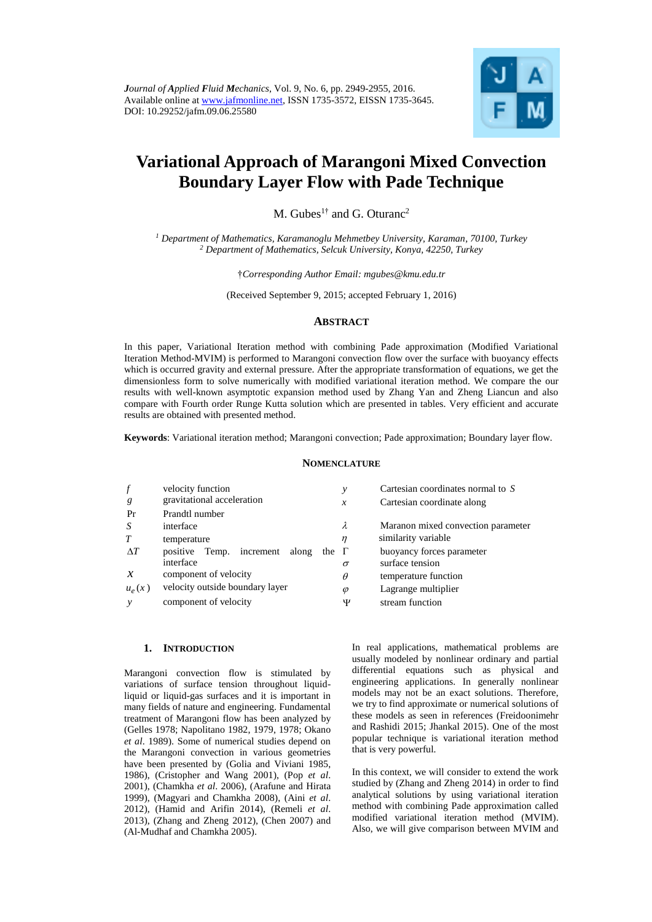

# **Variational Approach of Marangoni Mixed Convection Boundary Layer Flow with Pade Technique**

M. Gubes<sup>1†</sup> and G. Oturanc<sup>2</sup>

*<sup>1</sup> Department of Mathematics, Karamanoglu Mehmetbey University, Karaman, 70100, Turkey <sup>2</sup> Department of Mathematics, Selcuk University, Konya, 42250, Turkey*

†*Corresponding Author Email: mgubes@kmu.edu.tr*

(Received September 9, 2015; accepted February 1, 2016)

# **ABSTRACT**

In this paper, Variational Iteration method with combining Pade approximation (Modified Variational Iteration Method-MVIM) is performed to Marangoni convection flow over the surface with buoyancy effects which is occurred gravity and external pressure. After the appropriate transformation of equations, we get the dimensionless form to solve numerically with modified variational iteration method. We compare the our results with well-known asymptotic expansion method used by Zhang Yan and Zheng Liancun and also compare with Fourth order Runge Kutta solution which are presented in tables. Very efficient and accurate results are obtained with presented method.

**Keywords**: Variational iteration method; Marangoni convection; Pade approximation; Boundary layer flow.

# **NOMENCLATURE**

| f             | velocity function                           | ν             | Cartesian coordinates normal to S  |  |
|---------------|---------------------------------------------|---------------|------------------------------------|--|
| g             | gravitational acceleration                  | $\mathcal{X}$ | Cartesian coordinate along         |  |
| Pr            | Prandtl number                              |               |                                    |  |
|               | interface                                   | λ             | Maranon mixed convection parameter |  |
|               | temperature                                 | η             | similarity variable                |  |
| $\Lambda T$   | positive Temp. increment along the $\Gamma$ |               | buoyancy forces parameter          |  |
|               | interface                                   | $\sigma$      | surface tension                    |  |
|               | component of velocity                       | $\theta$      | temperature function               |  |
| $u_{\rho}(x)$ | velocity outside boundary layer             | $\varphi$     | Lagrange multiplier                |  |
| $\mathbf{v}$  | component of velocity                       | Ψ             | stream function                    |  |

# **1. INTRODUCTION**

Marangoni convection flow is stimulated by variations of surface tension throughout liquidliquid or liquid-gas surfaces and it is important in many fields of nature and engineering. Fundamental treatment of Marangoni flow has been analyzed by (Gelles 1978; Napolitano 1982, 1979, 1978; Okano *et al*. 1989). Some of numerical studies depend on the Marangoni convection in various geometries have been presented by (Golia and Viviani 1985, 1986), (Cristopher and Wang 2001), (Pop *et al*. 2001), (Chamkha *et al*. 2006), (Arafune and Hirata 1999), (Magyari and Chamkha 2008), (Aini *et al*. 2012), (Hamid and Arifin 2014), (Remeli *et al*. 2013), (Zhang and Zheng 2012), (Chen 2007) and (Al-Mudhaf and Chamkha 2005).

In real applications, mathematical problems are usually modeled by nonlinear ordinary and partial differential equations such as physical and engineering applications. In generally nonlinear models may not be an exact solutions. Therefore, we try to find approximate or numerical solutions of these models as seen in references (Freidoonimehr and Rashidi 2015; Jhankal 2015). One of the most popular technique is variational iteration method that is very powerful.

In this context, we will consider to extend the work studied by (Zhang and Zheng 2014) in order to find analytical solutions by using variational iteration method with combining Pade approximation called modified variational iteration method (MVIM). Also, we will give comparison between MVIM and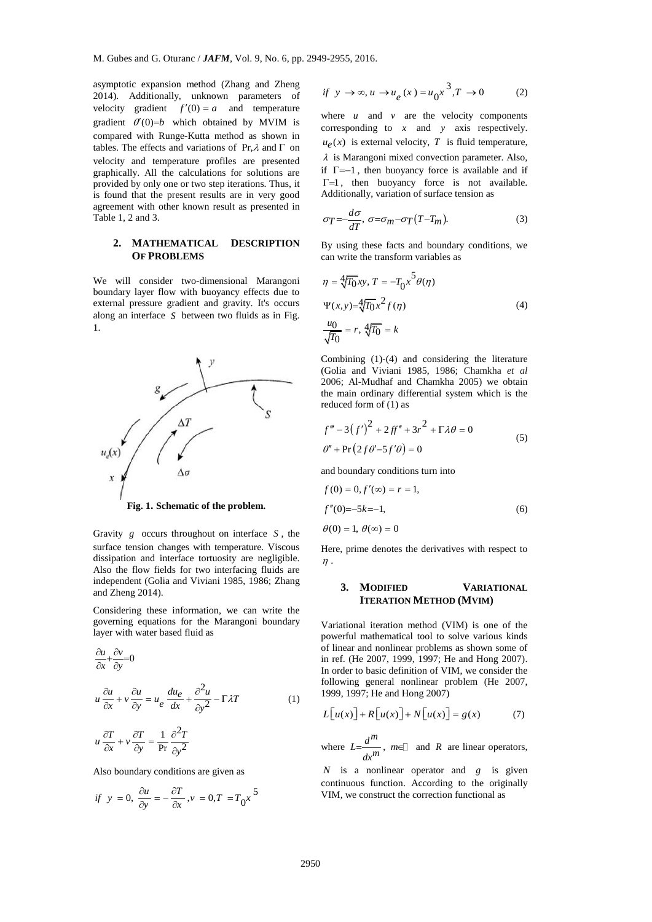asymptotic expansion method (Zhang and Zheng 2014). Additionally, unknown parameters of velocity gradient  $f'(0) = a$  and temperature gradient  $\theta'(0)=b$  which obtained by MVIM is compared with Runge-Kutta method as shown in tables. The effects and variations of  $Pr, \lambda$  and  $\Gamma$  on velocity and temperature profiles are presented graphically. All the calculations for solutions are provided by only one or two step iterations. Thus, it is found that the present results are in very good agreement with other known result as presented in Table 1, 2 and 3.

#### **2. MATHEMATICAL DESCRIPTION OF PROBLEMS**

We will consider two-dimensional Marangoni boundary layer flow with buoyancy effects due to external pressure gradient and gravity. It's occurs along an interface *S* between two fluids as in Fig. 1.



**Fig. 1. Schematic of the problem.**

Gravity *g* occurs throughout on interface *S* , the surface tension changes with temperature. Viscous dissipation and interface tortuosity are negligible. Also the flow fields for two interfacing fluids are independent (Golia and Viviani 1985, 1986; Zhang and Zheng 2014).

Considering these information, we can write the governing equations for the Marangoni boundary layer with water based fluid as

$$
\frac{\partial u}{\partial x} + \frac{\partial v}{\partial y} = 0
$$
\n
$$
u \frac{\partial u}{\partial x} + v \frac{\partial u}{\partial y} = u_e \frac{du_e}{dx} + \frac{\partial^2 u}{\partial y^2} - \Gamma \lambda T
$$
\n(1)

$$
u\frac{\partial T}{\partial x} + v\frac{\partial T}{\partial y} = \frac{1}{\text{Pr}}\frac{\partial^2 T}{\partial y^2}
$$

Also boundary conditions are given as

if 
$$
y = 0
$$
,  $\frac{\partial u}{\partial y} = -\frac{\partial T}{\partial x}$ ,  $v = 0$ ,  $T = T_0 x^5$ 

$$
\text{if } y \to \infty, u \to u_e(x) = u_0 x^3, T \to 0 \tag{2}
$$

where  $u$  and  $v$  are the velocity components corresponding to *x* and *y* axis respectively.  $u_{\ell}(x)$  is external velocity, T is fluid temperature,  $\lambda$  is Marangoni mixed convection parameter. Also, if  $\Gamma = -1$ , then buoyancy force is available and if  $\Gamma = 1$ , then buoyancy force is not available. Additionally, variation of surface tension as

$$
\sigma_T = \frac{d\sigma}{dT}, \ \sigma = \sigma_m - \sigma_T (T - T_m). \tag{3}
$$

By using these facts and boundary conditions, we can write the transform variables as

$$
\eta = \sqrt[4]{T_0}xy, T = -T_0x^5 \theta(\eta)
$$
  

$$
\Psi(x, y) = \sqrt[4]{T_0}x^2 f(\eta)
$$
  

$$
\frac{u_0}{\sqrt{T_0}} = r, \sqrt[4]{T_0} = k
$$
 (4)

Combining (1)-(4) and considering the literature (Golia and Viviani 1985, 1986; Chamkha *et al* 2006; Al-Mudhaf and Chamkha 2005) we obtain the main ordinary differential system which is the reduced form of (1) as

$$
f''' - 3(f')^{2} + 2ff'' + 3r^{2} + \Gamma \lambda \theta = 0
$$
  
(5)  

$$
\theta'' + \Pr(2f\theta' - 5f'\theta) = 0
$$

and boundary conditions turn into

$$
f(0) = 0, f'(\infty) = r = 1,
$$
  

$$
f''(0) = -5k = -1,
$$
 (6)

 $\theta(0) = 1, \theta(\infty) = 0$ 

Here, prime denotes the derivatives with respect to  $\eta$ .

# **3. MODIFIED VARIATIONAL ITERATION METHOD (MVIM)**

Variational iteration method (VIM) is one of the powerful mathematical tool to solve various kinds of linear and nonlinear problems as shown some of in ref. (He 2007, 1999, 1997; He and Hong 2007). In order to basic definition of VIM, we consider the following general nonlinear problem (He 2007, 1999, 1997; He and Hong 2007)

$$
L[u(x)] + R[u(x)] + N[u(x)] = g(x)
$$
 (7)

where  $L = \frac{d^m}{dx^m}$ ,  $m \in \mathbb{Z}$  and *R* are linear operators,

*N* is a nonlinear operator and *g* is given continuous function. According to the originally VIM, we construct the correction functional as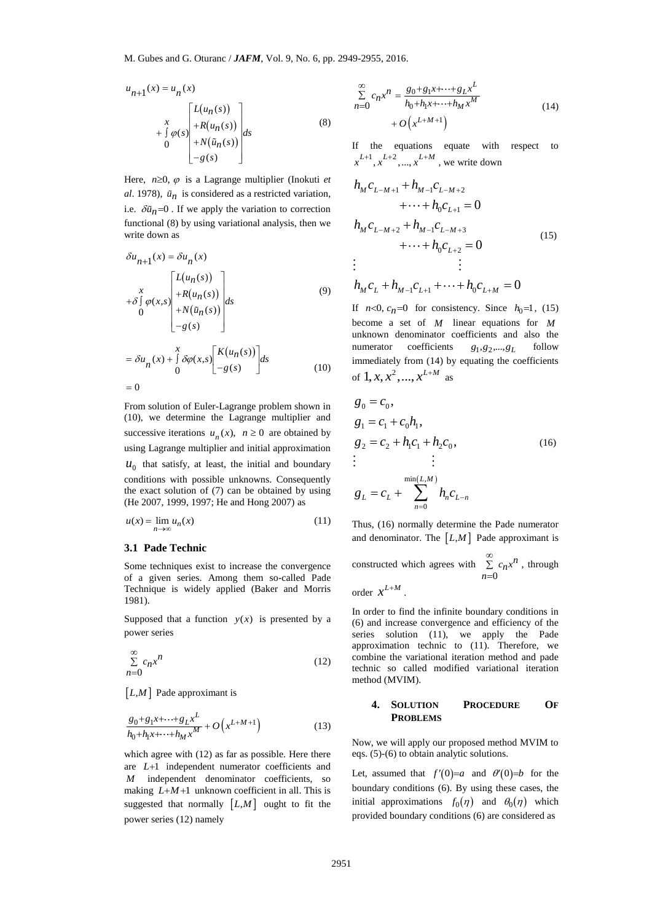$$
u_{n+1}(x) = u_n(x)
$$
  
\n
$$
x
$$
  
\n
$$
+ \int_{0}^{x} \varphi(s) \begin{bmatrix} L(u_n(s)) \\ + R(u_n(s)) \\ + N(\tilde{u}_n(s)) \\ -g(s) \end{bmatrix} ds
$$
 (8)

Here,  $n \ge 0$ ,  $\varphi$  is a Lagrange multiplier (Inokuti *et*  $al. 1978$ ),  $\tilde{u}_n$  is considered as a restricted variation, i.e.  $\delta \tilde{u}_n = 0$ . If we apply the variation to correction functional (8) by using variational analysis, then we write down as

$$
\begin{vmatrix}\nx & \frac{x}{\sqrt{1 + \rho(s)}} \frac{L(u_n(s))}{L(u_n(s))} & (8) \\
x + \frac{1}{\rho(s)} + R(u_n(s)) & (8) \\
x + \frac{1}{\rho(s)} \frac{L(u_n(s))}{L - g(s)} & (8) \\
x = \frac{1}{\rho(s)} \frac{L}{L} \frac{L}{L} \frac{L}{L} \frac{L}{L} \frac{L}{L} \frac{L}{L} \frac{L}{L} \frac{L}{L} \frac{L}{L} \frac{L}{L} \frac{L}{L} \frac{L}{L} \frac{L}{L} \frac{L}{L} \frac{L}{L} \frac{L}{L} \frac{L}{L} \frac{L}{L} \frac{L}{L} \frac{L}{L} \frac{L}{L} \frac{L}{L} \frac{L}{L} \frac{L}{L} \frac{L}{L} \frac{L}{L} \frac{L}{L} \frac{L}{L} \frac{L}{L} \frac{L}{L} \frac{L}{L} \frac{L}{L} \frac{L}{L} \frac{L}{L} \frac{L}{L} \frac{L}{L} \frac{L}{L} \frac{L}{L} \frac{L}{L} \frac{L}{L} \frac{L}{L} \frac{L}{L} \frac{L}{L} \frac{L}{L} \frac{L}{L} \frac{L}{L} \frac{L}{L} \frac{L}{L} \frac{L}{L} \frac{L}{L} \frac{L}{L} \frac{L}{L} \frac{L}{L} \frac{L}{L} \frac{L}{L} \frac{L}{L} \frac{L}{L} \frac{L}{L} \frac{L}{L} \frac{L}{L} \frac{L}{L} \frac{L}{L} \frac{L}{L} \frac{L}{L} \frac{L}{L} \frac{L}{L} \frac{L}{L} \frac{L}{L} \frac{L}{L} \frac{L}{L} \frac{L}{L} \frac{L}{L} \frac{L}{L} \frac{L}{L} \frac{L}{L} \frac{L}{L} \frac{L}{L} \frac{L}{L} \frac{L}{L} \frac{L}{L} \frac{L}{L} \frac{L}{L} \frac{L}{L} \frac{L}{L} \frac{L}{L} \frac{L}{L} \frac{L}{L} \frac{L}{L} \frac{L}{L} \frac{L}{L} \frac{L}{L} \frac{L}{L} \frac{L}{L} \frac{
$$

From solution of Euler-Lagrange problem shown in (10), we determine the Lagrange multiplier and successive iterations  $u_n(x)$ ,  $n \ge 0$  are obtained by using Lagrange multiplier and initial approximation  $u_0$  that satisfy, at least, the initial and boundary conditions with possible unknowns. Consequently the exact solution of (7) can be obtained by using (He 2007, 1999, 1997; He and Hong 2007) as

$$
u(x) = \lim_{n \to \infty} u_n(x) \tag{11}
$$

# **3.1 Pade Technic**

Some techniques exist to increase the convergence of a given series. Among them so-called Pade Technique is widely applied (Baker and Morris 1981).

Supposed that a function  $y(x)$  is presented by a power series

$$
\sum_{n=0}^{\infty} c_n x^n
$$
 (12)

 $[L,M]$  Pade approximant is

$$
\frac{g_0 + g_1 x + \dots + g_L x^L}{h_0 + h_1 x + \dots + h_M x^M} + O\left(x^{L+M+1}\right)
$$
\n(13)

which agree with (12) as far as possible. Here there are L+1 independent numerator coefficients and *M* independent denominator coefficients, so making  $L+M+1$  unknown coefficient in all. This is suggested that normally  $[L,M]$  ought to fit the power series (12) namely

$$
\sum_{n=0}^{\infty} c_n x^n = \frac{g_0 + g_1 x + \dots + g_L x^L}{h_0 + h_1 x + \dots + h_M x^M} + O\left(x^{L+M+1}\right)
$$
\n(14)

If the equations equate with respect to

$$
x^{L+1}, x^{L+2}, \dots, x^{L+M}, \text{ we write down}
$$
  
\n
$$
h_M c_{L-M+1} + h_{M-1} c_{L-M+2} + \dots + h_0 c_{L+1} = 0
$$
  
\n
$$
h_M c_{L-M+2} + h_{M-1} c_{L-M+3} + \dots + h_0 c_{L+2} = 0
$$
  
\n
$$
\vdots \qquad \qquad \vdots
$$
  
\n
$$
h_M c_L + h_{M-1} c_{L+1} + \dots + h_0 c_{L+M} = 0
$$
 (15)

If  $n<0$ ,  $c_n=0$  for consistency. Since  $h_0=1$ , (15) become a set of *M* linear equations for *M* unknown denominator coefficients and also the numerator coefficients  $g_1, g_2, \ldots, g_L$ follow immediately from (14) by equating the coefficients of  $1, x, x^2, ..., x^{L+M}$  as

$$
g_0 = c_0,
$$
  
\n
$$
g_1 = c_1 + c_0 h_1,
$$
  
\n
$$
g_2 = c_2 + h_1 c_1 + h_2 c_0,
$$
  
\n
$$
\vdots
$$
  
\n
$$
g_L = c_L + \sum_{n=0}^{\min(L,M)} h_n c_{L-n}
$$
\n(16)

Thus, (16) normally determine the Pade numerator and denominator. The  $[L,M]$  Pade approximant is constructed which agrees with 0  $c_n x^n$ *n*  $\infty$ Σ  $=$ , through

order 
$$
x^{L+M}
$$
.

In order to find the infinite boundary conditions in (6) and increase convergence and efficiency of the series solution (11), we apply the Pade approximation technic to (11). Therefore, we combine the variational iteration method and pade technic so called modified variational iteration method (MVIM).

#### **4. SOLUTION PROCEDURE OF PROBLEMS**

Now, we will apply our proposed method MVIM to eqs. (5)-(6) to obtain analytic solutions.

Let, assumed that  $f'(0)=a$  and  $\theta'(0)=b$  for the boundary conditions (6). By using these cases, the initial approximations  $f_0(\eta)$  and  $\theta_0(\eta)$  which provided boundary conditions (6) are considered as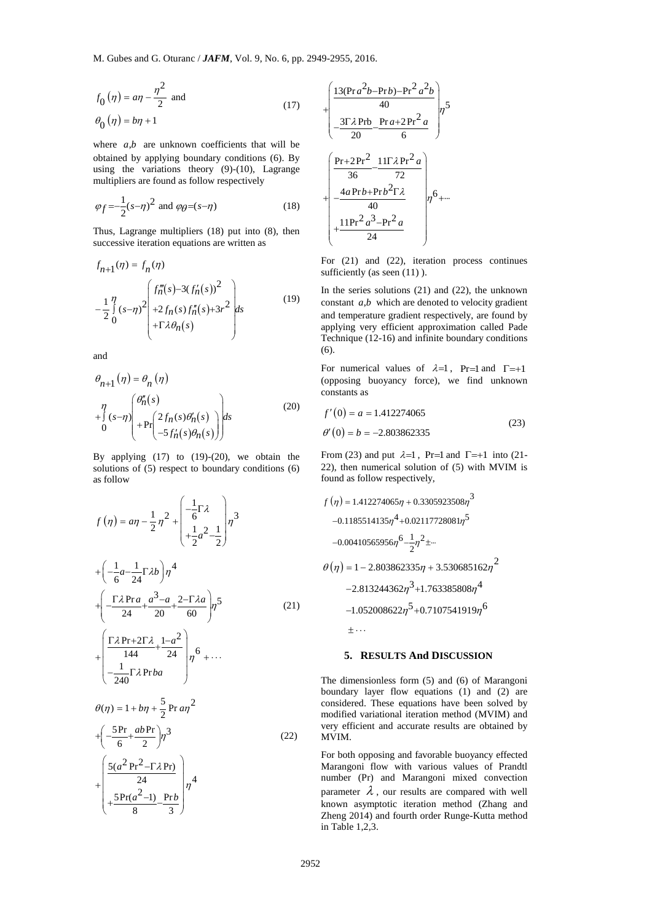$$
f_0(\eta) = a\eta - \frac{\eta^2}{2} \text{ and}
$$
  
\n
$$
\theta_0(\eta) = b\eta + 1
$$
 (17)

where  $a,b$  are unknown coefficients that will be obtained by applying boundary conditions (6). By using the variations theory  $(9)-(10)$ , Lagrange multipliers are found as follow respectively

$$
\varphi_f = \frac{1}{2}(s-\eta)^2 \text{ and } \varphi_{\theta} = (s-\eta) \tag{18}
$$

Thus, Lagrange multipliers (18) put into (8), then successive iteration equations are written as

$$
f_{n+1}(\eta) = f_n(\eta)
$$
  

$$
-\frac{1}{2} \int_{0}^{\eta} (s-\eta)^2 \begin{pmatrix} f_n'''(s) - 3(f_n'(s))^2 \\ +2f_n(s)f_n''(s) + 3r^2 \\ + \Gamma \lambda \theta_n(s) \end{pmatrix} ds
$$
 (19)

and

$$
\theta_{n+1}(\eta) = \theta_n(\eta)
$$
\n
$$
+ \int_{0}^{\eta} (s-\eta) \begin{pmatrix} \theta_n''(s) \\ + \int_{0}^{\eta} (s-\eta)' \\ + \Pr\begin{pmatrix} 2f_n(s)\theta_n'(s) \\ -5f'_n(s)\theta_n(s) \end{pmatrix} ds \end{pmatrix} (20)
$$

By applying  $(17)$  to  $(19)-(20)$ , we obtain the solutions of (5) respect to boundary conditions (6) as follow

$$
f_0(\eta) = a\eta - \frac{\eta}{2}
$$
 and (17)  
\n $\theta_0(\eta) = b\eta + 1$   
\nwhere *a,b* are unknown coefficients that will be  
\nobtained by applying boundary conditions (6). By  
\nusing the variations theory (9)-(10), Lagrange  
\nmultipliers are found as follow respectively  
\n $\varphi_f = -\frac{1}{2}(s-\eta)^2$  and  $\varphi_{\theta} = (s-\eta)$  (18)  
\nThus, Lagrange multipliers (18) put into (8), then  
\nsuccessive iteration equations are written as  
\n $f_{n+1}(\eta) = f_n(\eta)$   
\n $-\frac{1}{2}\int_0^{\eta} (s-\eta)^2 \begin{pmatrix} f_n^{\pi}(s)-3(f_n^{\prime}(s))^2 \\ +2f_n(s)f_n^{\pi}(s)+3r^2 \end{pmatrix} ds$  (19)  
\nand  
\n $\theta_{n+1}(\eta) = \theta_n(\eta)$   
\n $\eta$   
\n $\eta$   
\n $f_0 = \int_0^{\rho} f_n(\eta)$   
\n $\theta_0 + \int_0^{\rho} f_n(\eta)$   
\n $\theta_0 + \int_0^{\rho} f_n(\eta) \frac{2f_n(s)\theta_n(s)}{s+f_n(s)\theta_n(s)} ds$  (20)  
\nBy applying (17) to (19)-(20), we obtain the  
\nsolution of (5) respect to boundary conditions (6)  
\nso follow  
\n $f(\eta) = a\eta - \frac{1}{2}\eta^2 + \begin{pmatrix} -\frac{1}{6}T\lambda \\ -\frac{1}{6}T\lambda \end{pmatrix} \eta^3$   
\n $+ \begin{pmatrix} -\frac{1}{6}T\lambda - \frac{1}{2}T\lambda b \\ +\frac{1}{2}T\lambda - \frac{1}{2}T\lambda b \end{pmatrix} \eta^4$   
\n $+ \begin{pmatrix} \frac{1}{6}T\lambda Pr + 2\Gamma\lambda}{24} + \frac{1-\alpha^2}{24} \end{pmatrix} \eta^5$  (21)  
\n $+ \begin{pmatrix} \frac{1}{6}T\lambda Pr + 2\Gamma\lambda + \frac{1-\alpha^2}{24} \\ -\frac{1}{24}T\lambda Pr \alpha \end{pmatrix} \eta^5 + ...$   
\n $+ \begin{pmatrix} \$ 

$$
+\left(\frac{13(\text{Pr}a^{2}b-\text{Pr}b)-\text{Pr}^{2}a^{2}b}{40}\right)\eta^{5}
$$
\n
$$
-\frac{3\Gamma\lambda\text{Prb}}{20}-\frac{\text{Pr}a+2\text{Pr}^{2}a}{6}\right)\eta^{5}
$$
\n
$$
+\left(\frac{\text{Pr}+2\text{Pr}^{2}}{36}-\frac{11\Gamma\lambda\text{Pr}^{2}a}{72}\right)\eta^{6}+\cdots +\frac{4a\text{Pr}b+\text{Pr}b^{2}\Gamma\lambda}{40}\eta^{6}+\cdots +\frac{11\text{Pr}^{2}a^{3}-\text{Pr}^{2}a}{24}\right)
$$

For (21) and (22), iteration process continues sufficiently (as seen  $(11)$ ).

In the series solutions (21) and (22), the unknown constant  $a,b$  which are denoted to velocity gradient and temperature gradient respectively, are found by applying very efficient approximation called Pade Technique (12-16) and infinite boundary conditions (6).

For numerical values of  $\lambda=1$ , Pr=1 and  $\Gamma=+1$ (opposing buoyancy force), we find unknown constants as

$$
f'(0) = a = 1.412274065
$$
  
\n
$$
\theta'(0) = b = -2.803862335
$$
\n(23)

From (23) and put  $\lambda=1$ , Pr=1 and  $\Gamma=+1$  into (21-22), then numerical solution of (5) with MVIM is found as follow respectively,

$$
f(\eta) = 1.412274065\eta + 0.3305923508\eta^{3}
$$
  
\n
$$
-0.1185514135\eta^{4} + 0.02117728081\eta^{5}
$$
  
\n
$$
-0.00410565956\eta^{6} - \frac{1}{2}\eta^{2} \pm \cdots
$$
  
\n
$$
\theta(\eta) = 1 - 2.803862335\eta + 3.530685162\eta^{2}
$$
  
\n
$$
-2.813244362\eta^{3} + 1.763385808\eta^{4}
$$
  
\n
$$
-1.052008622\eta^{5} + 0.7107541919\eta^{6}
$$
  
\n
$$
\pm \cdots
$$

#### **5. RESULTS And DISCUSSION**

The dimensionless form (5) and (6) of Marangoni boundary layer flow equations (1) and (2) are considered. These equations have been solved by modified variational iteration method (MVIM) and very efficient and accurate results are obtained by MVIM.

For both opposing and favorable buoyancy effected Marangoni flow with various values of Prandtl number (Pr) and Marangoni mixed convection parameter  $\lambda$ , our results are compared with well known asymptotic iteration method (Zhang and Zheng 2014) and fourth order Runge-Kutta method in Table 1,2,3.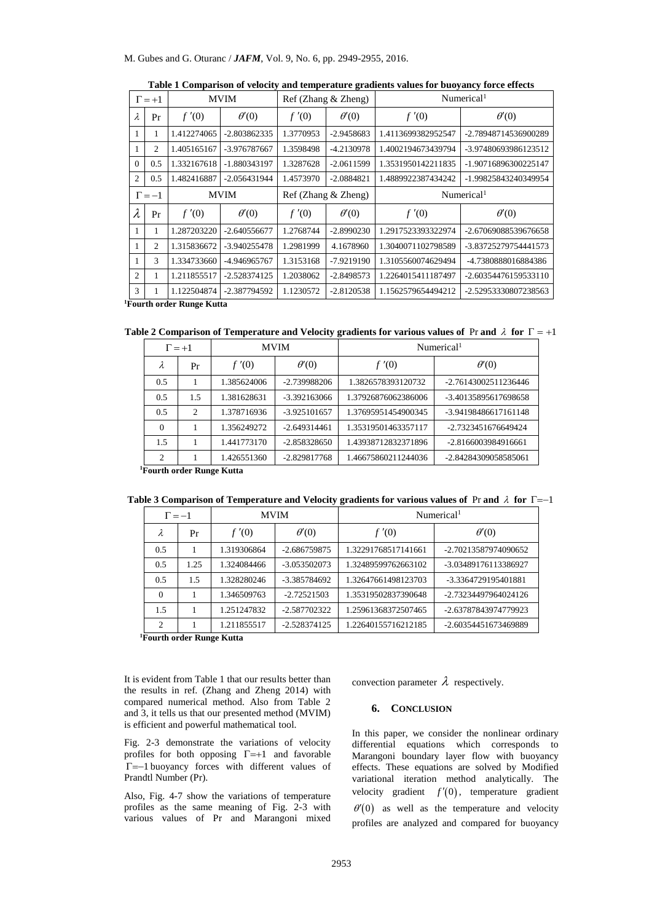| $\Gamma = +1$ |                                       | <b>MVIM</b> |                | Ref(Zhang & Zheng) |              | Numerical <sup>1</sup> |                      |
|---------------|---------------------------------------|-------------|----------------|--------------------|--------------|------------------------|----------------------|
| $\lambda$     | Pr                                    | f'(0)       | $\theta'(0)$   | f'(0)              | $\theta'(0)$ | f'(0)                  | $\theta'(0)$         |
| 1             | 1                                     | 1.412274065 | $-2.803862335$ | 1.3770953          | $-2.9458683$ | 1.4113699382952547     | -2.78948714536900289 |
| 1             | $\overline{c}$                        | 1.405165167 | -3.976787667   | 1.3598498          | -4.2130978   | 1.4002194673439794     | -3.97480693986123512 |
| $\Omega$      | 0.5                                   | 1.332167618 | -1.880343197   | 1.3287628          | $-2.0611599$ | 1.3531950142211835     | -1.90716896300225147 |
| 2             | 0.5                                   | 1.482416887 | $-2.056431944$ | 1.4573970          | $-2.0884821$ | 1.4889922387434242     | -1.99825843240349954 |
|               | $\Gamma = -1$                         | <b>MVIM</b> |                | Ref(Zhang & Zheng) |              | Numerical <sup>1</sup> |                      |
| λ             | Pr                                    | f'(0)       | $\theta'(0)$   | f'(0)              | $\theta'(0)$ | f'(0)                  | $\theta'(0)$         |
| 1             | 1                                     | 1.287203220 | $-2.640556677$ | 1.2768744          | $-2.8990230$ | 1.2917523393322974     | -2.67069088539676658 |
| 1             | $\overline{c}$                        | 1.315836672 | -3.940255478   | 1.2981999          | 4.1678960    | 1.3040071102798589     | -3.83725279754441573 |
| 1             | 3                                     | 1.334733660 | -4.946965767   | 1.3153168          | $-7.9219190$ | 1.3105560074629494     | -4.7380888016884386  |
| 2             | 1                                     | 1.211855517 | $-2.528374125$ | 1.2038062          | $-2.8498573$ | 1.2264015411187497     | -2.60354476159533110 |
| $\mathcal{F}$ |                                       | 1.122504874 | -2.387794592   | 1.1230572          | $-2.8120538$ | 1.1562579654494212     | -2.52953330807238563 |
|               | <sup>l</sup> Fourth order Runge Kutta |             |                |                    |              |                        |                      |

**Table 1 Comparison of velocity and temperature gradients values for buoyancy force effects**

**<sup>1</sup>Fourth order Runge Kutta**

Table 2 Comparison of Temperature and Velocity gradients for various values of Pr and  $\lambda$  for  $\Gamma = +1$ 

| $\Gamma = +1$               |     | MVIM        |                | Numerical <sup>1</sup> |                      |  |
|-----------------------------|-----|-------------|----------------|------------------------|----------------------|--|
| λ                           | Pr  | f'(0)       | $\theta'(0)$   | f'(0)                  | $\theta'(0)$         |  |
| 0.5                         |     | 1.385624006 | -2.739988206   | 1.3826578393120732     | -2.76143002511236446 |  |
| 0.5                         | 1.5 | 1.381628631 | -3.392163066   | 1.37926876062386006    | -3.40135895617698658 |  |
| 0.5                         | 2   | 1.378716936 | $-3.925101657$ | 1.37695951454900345    | -3.94198486617161148 |  |
| $\Omega$                    |     | 1.356249272 | $-2.649314461$ | 1.35319501463357117    | -2.7323451676649424  |  |
| 1.5                         |     | 1.441773170 | $-2.858328650$ | 1.43938712832371896    | -2.8166003984916661  |  |
| $\mathcal{D}_{\mathcal{L}}$ |     | 1.426551360 | $-2.829817768$ | 1.46675860211244036    | -2.84284309058585061 |  |

**<sup>1</sup>Fourth order Runge Kutta**

Table 3 Comparison of Temperature and Velocity gradients for various values of Pr and  $\lambda$  for  $\Gamma = -1$ 

| $\Gamma = -1$  |      | <b>MVIM</b> |                | Numerical <sup>1</sup> |                      |  |
|----------------|------|-------------|----------------|------------------------|----------------------|--|
| λ              | Pr   | f'(0)       | $\theta'(0)$   | f'(0)                  | $\theta'(0)$         |  |
| 0.5            |      | 1.319306864 | $-2.686759875$ | 1.32291768517141661    | -2.70213587974090652 |  |
| 0.5            | 1.25 | 1.324084466 | $-3.053502073$ | 1.32489599762663102    | -3.03489176113386927 |  |
| 0.5            | 1.5  | 1.328280246 | -3.385784692   | 1.32647661498123703    | -3.3364729195401881  |  |
| $\Omega$       |      | 1.346509763 | $-2.72521503$  | 1.35319502837390648    | -2.73234497964024126 |  |
| 1.5            |      | 1.251247832 | $-2.587702322$ | 1.25961368372507465    | -2.63787843974779923 |  |
| $\overline{c}$ |      | 1.211855517 | $-2.528374125$ | 1.22640155716212185    | -2.60354451673469889 |  |

**<sup>1</sup>Fourth order Runge Kutta**

It is evident from Table 1 that our results better than the results in ref. (Zhang and Zheng 2014) with compared numerical method. Also from Table 2 and 3, it tells us that our presented method (MVIM) is efficient and powerful mathematical tool.

Fig. 2-3 demonstrate the variations of velocity profiles for both opposing  $\Gamma = +1$  and favorable 1 buoyancy forces with different values of Prandtl Number (Pr).

Also, Fig. 4-7 show the variations of temperature profiles as the same meaning of Fig. 2-3 with various values of Pr and Marangoni mixed convection parameter  $\lambda$  respectively.

### **6. CONCLUSION**

In this paper, we consider the nonlinear ordinary differential equations which corresponds to Marangoni boundary layer flow with buoyancy effects. These equations are solved by Modified variational iteration method analytically. The velocity gradient  $f'(0)$ , temperature gradient  $\theta'(0)$  as well as the temperature and velocity profiles are analyzed and compared for buoyancy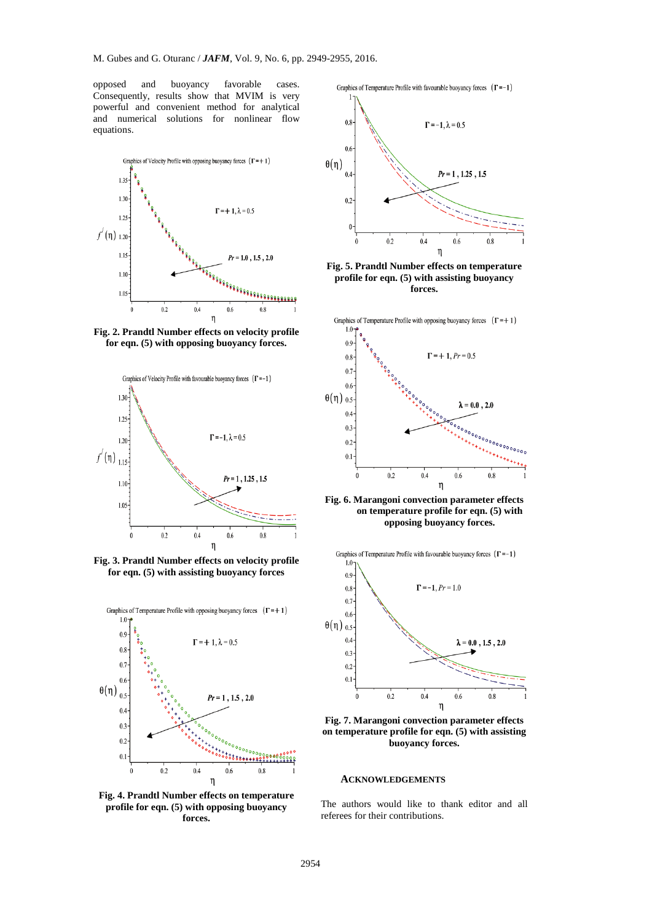opposed and buoyancy favorable cases. Consequently, results show that MVIM is very powerful and convenient method for analytical and numerical solutions for nonlinear flow equations.



**Fig. 2. Prandtl Number effects on velocity profile for eqn. (5) with opposing buoyancy forces.**



**Fig. 3. Prandtl Number effects on velocity profile for eqn. (5) with assisting buoyancy forces**



**Fig. 4. Prandtl Number effects on temperature profile for eqn. (5) with opposing buoyancy forces.**

Graphics of Temperature Profile with favourable buoyancy forces  $(\Gamma = -1)$ 



**Fig. 5. Prandtl Number effects on temperature profile for eqn. (5) with assisting buoyancy forces.**



**Fig. 6. Marangoni convection parameter effects on temperature profile for eqn. (5) with opposing buoyancy forces.**



**Fig. 7. Marangoni convection parameter effects on temperature profile for eqn. (5) with assisting buoyancy forces.**

# **ACKNOWLEDGEMENTS**

The authors would like to thank editor and all referees for their contributions.